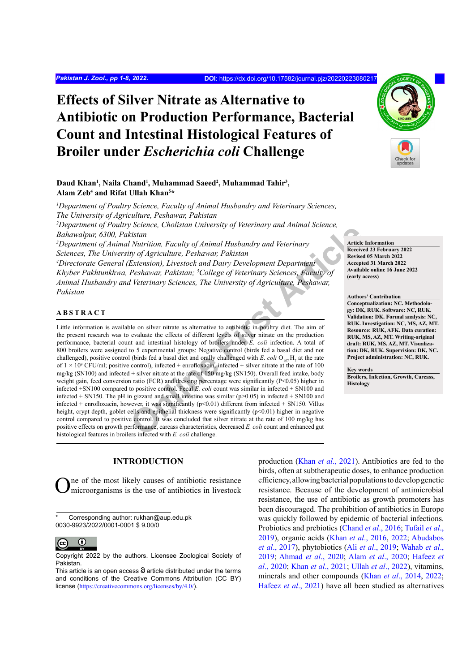# **Effects of Silver Nitrate as Alternative to Antibiotic on Production Performance, Bacterial Count and Intestinal Histological Features of Broiler under** *Escherichia coli* **Challenge**

#### Daud Khan<sup>1</sup>, Naila Chand<sup>1</sup>, Muhammad Saeed<sup>2</sup>, Muhammad Tahir<sup>3</sup>, **Alam Zeb4 and Rifat Ullah Khan5 \***

*1 Department of Poultry Science, Faculty of Animal Husbandry and Veterinary Sciences, The University of Agriculture, Peshawar, Pakistan*

<sup>2</sup>Department of Poultry Science, Cholistan University of Veterinary and Animal Science, *Bahawalpur, 6300, Pakistan* 

*3 Department of Animal Nutrition, Faculty of Animal Husbandry and Veterinary Sciences, The University of Agriculture, Peshawar, Pakistan*

<sup>4</sup>Directorate General (Extension), Livestock and Dairy Development Department *Khyber Pakhtunkhwa, Peshawar, Pakistan; 5 College of Veterinary Sciences, Faculty of Animal Husbandry and Veterinary Sciences, The University of Agriculture, Peshawar, Pakistan*

# **ABSTRACT**

Staten<br>
Staten<br>
Staten<br>
In Nutrition, Faculty of Animal Husbandry and Veterinary<br>
(by of Agriculture, Peshawar, Pakistan<br>
Extension), Livestock and Dairy Development Department<br>
Peshawar, Pakistan, <sup>5</sup>College of Veterinary Little information is available on silver nitrate as alternative to antibiotic in poultry diet. The aim of the present research was to evaluate the effects of different levels of silver nitrate on the production performance, bacterial count and intestinal histology of broilers under *E. coli* infection. A total of 800 broilers were assigned to 5 experimental groups: Negative control (birds fed a basal diet and not challenged), positive control (birds fed a basal diet and orally challenged with *E. coli*  $O_{157}H_7$  at the rate of  $1 \times 10^9$  CFU/ml; positive control), infected + enrofloxacin, infected + silver nitrate at the rate of 100 mg/kg (SN100) and infected + silver nitrate at the rate of 150 mg/kg (SN150). Overall feed intake, body weight gain, feed conversion ratio (FCR) and dressing percentage were significantly (P<0.05) higher in infected +SN100 compared to positive control. Fecal *E. coli* count was similar in infected + SN100 and infected + SN150. The pH in gizzard and small intestine was similar ( $p$  > 0.05) in infected + SN100 and infected + enrofloxacin, however, it was significantly (p<0.01) different from infected + SN150. Villus height, crypt depth, goblet cells and epithelial thickness were significantly (p<0.01) higher in negative control compared to positive control. It was concluded that silver nitrate at the rate of 100 mg/kg has positive effects on growth performance, carcass characteristics, decreased *E. coli* count and enhanced gut histological features in broilers infected with *E. coli* challenge.

## **INTRODUCTION**

One of the most likely causes of antibiotic resistance microorganisms is the use of antibiotics in livestock

Corresponding author: rukhan@aup.edu.pk 0030-9923/2022/0001-0001 \$ 9.00/0



Copyright 2022 by the authors. Licensee Zoological Society of Pakistan.

production (Khan *et al*[., 2021](#page-6-0)). Antibiotics are fed to the birds, often at subtherapeutic doses, to enhance production efficiency, allowing bacterial populations to develop genetic resistance. Because of the development of antimicrobial resistance, the use of antibiotic as growth promoters has been discouraged. The prohibition of antibiotics in Europe was quickly followed by epidemic of bacterial infections. Probiotics and prebiotics ([Chand](#page-5-0) *et al*., 2016; [Tufail](#page-7-0) *et al*., [2019\)](#page-7-0), organic acids (Khan *et al*[., 2016,](#page-6-1) [2022](#page-6-2); [Abudabos](#page-5-1) *et al*[., 2017](#page-5-1)), phytobiotics (Ali *et al*[., 2019](#page-5-2); [Wahab](#page-7-1) *et al*., [2019;](#page-7-1) [Ahmad](#page-5-3) *et al*., 2020; Alam *et al*[., 2020;](#page-5-4) [Hafeez](#page-5-5) *et al*[., 2020](#page-5-5); Khan *et al*[., 2021;](#page-6-0) Ullah *et al*[., 2022\)](#page-7-2), vitamins, minerals and other compounds (Khan *et al*[., 2014,](#page-6-3) [2022;](#page-6-2) [Hafeez](#page-5-6) *et al*., 2021) have all been studied as alternatives

**Article Information Received 23 February 2022 Revised 05 March 2022 Accepted 31 March 2022 Available online 16 June 2022 (early access)**

**Authors' Contribution Conceptualization: NC. Methodology: DK, RUK. Software: NC, RUK. Validation: DK. Formal analysis: NC, RUK. Investigation: NC, MS, AZ, MT. Resource: RUK, AFK. Data curation: RUK, MS, AZ, MT. Writing-original draft: RUK, MS, AZ, MT. Visualization: DK, RUK. Supervision: DK, NC. Project administration: NC, RUK.** 

**Key words**

**Broilers, Infection, Growth, Carcass, Histology**



This article is an open access  $\Theta$  article distributed under the terms and conditions of the Creative Commons Attribution (CC BY) license (<https://creativecommons.org/licenses/by/4.0/>).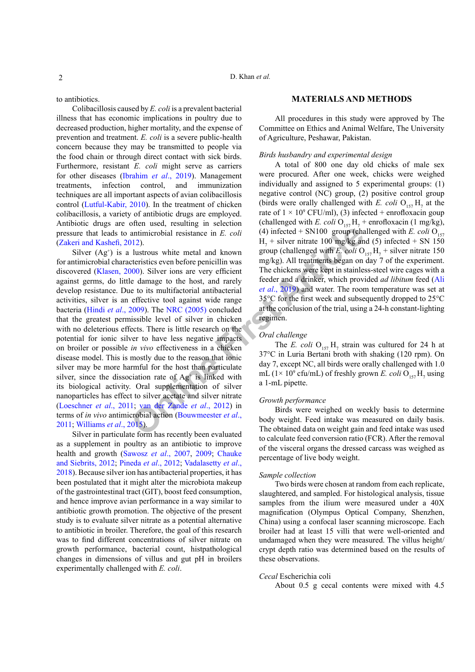to antibiotics.

Colibacillosis caused by *E. coli* is a prevalent bacterial illness that has economic implications in poultry due to decreased production, higher mortality, and the expense of prevention and treatment. *E. coli* is a severe public-health concern because they may be transmitted to people via the food chain or through direct contact with sick birds. Furthermore, resistant *E. coli* might serve as carriers for other diseases ([Ibrahim](#page-5-7) *et al*., 2019). Management treatments, infection control, and immunization techniques are all important aspects of avian colibacillosis control ([Lutful-Kabir, 2010](#page-6-4)). In the treatment of chicken colibacillosis, a variety of antibiotic drugs are employed. Antibiotic drugs are often used, resulting in selection pressure that leads to antimicrobial resistance in *E. coli* ([Zakeri and Kashefi, 2012](#page-7-3)).

**Columnation**<br> **Columnation**<br> **[Onl](#page-7-4)y the Example Schiff Columnation**<br> **Only the Example Schiff Columnation**<br> **Columnation**<br> **OD**<br> **OD**<br> **OD**<br> **OD**<br> **OD**<br> **OD**<br> **OD**<br> **OD**<br> **OD**<br> **OD**<br> **OD**<br> **OD**<br> **OD**<br> **OD**<br> **OD**<br> **OD**<br> **O** Silver  $(Ag<sup>+</sup>)$  is a lustrous white metal and known for antimicrobial characteristics even before penicillin was discovered [\(Klasen, 2000](#page-6-5)). Silver ions are very efficient against germs, do little damage to the host, and rarely develop resistance. Due to its multifactorial antibacterial activities, silver is an effective tool against wide range bacteria (Hindi *et al*[., 2009](#page-5-8)). The NRC (2005) concluded that the greatest permissible level of silver in chicken with no deleterious effects. There is little research on the potential for ionic silver to have less negative impacts on broiler or possible *in vivo* effectiveness in a chicken disease model. This is mostly due to the reason that ionic silver may be more harmful for the host than particulate silver, since the dissociation rate of  $Ag<sup>+</sup>$  is linked with its biological activity. Oral supplementation of silver nanoparticles has effect to silver acetate and silver nitrate [\(Loeschner](#page-6-7) *et al*., 2011; van der Zande *et al*., 2012) in terms of *in vivo* antimicrobial action (Bouwmeester *et al*., [2011](#page-5-9); [Williams](#page-7-5) *et al*., 2015).

Silver in particulate form has recently been evaluated as a supplement in poultry as an antibiotic to improve health and growth ([Sawosz](#page-6-8) *et al*., 2007, [2009](#page-7-6); [Chauke](#page-5-10) [and Siebrits, 2012](#page-5-10); [Pineda](#page-6-9) *et al*., 2012; [Vadalasetty](#page-7-7) *et al*., [2018\)](#page-7-7). Because silver ion has antibacterial properties, it has been postulated that it might alter the microbiota makeup of the gastrointestinal tract (GIT), boost feed consumption, and hence improve avian performance in a way similar to antibiotic growth promotion. The objective of the present study is to evaluate silver nitrate as a potential alternative to antibiotic in broiler. Therefore, the goal of this research was to find different concentrations of silver nitrate on growth performance, bacterial count, histpathological changes in dimensions of villus and gut pH in broilers experimentally challenged with *E. coli*.

#### **MATERIALS AND METHODS**

All procedures in this study were approved by The Committee on Ethics and Animal Welfare, The University of Agriculture, Peshawar, Pakistan.

#### *Birds husbandry and experimental design*

A total of 800 one day old chicks of male sex were procured. After one week, chicks were weighed individually and assigned to 5 experimental groups: (1) negative control (NC) group, (2) positive control group (birds were orally challenged with *E. coli*  $O_{157}H_7$  at the rate of  $1 \times 10^9$  CFU/ml), (3) infected + enrofloxacin goup (challenged with *E. coli*  $O_{157}H_7$  + enrofloxacin (1 mg/kg), (4) infected + SN100 group (challenged with *E. coli*  $O_{157}$  $H_7$  + silver nitrate 100 mg/kg and (5) infected + SN 150 group (challenged with *E. coli*  $O_{157}H_7$  + silver nitrate 150 mg/kg). All treatments began on day 7 of the experiment. The chickens were kept in stainless-steel wire cages with a feeder and a drinker, which provided *ad libitum* feed [\(Ali](#page-5-2) *et al*., 2019) and water. The room temperature was set at 35°C for the first week and subsequently dropped to 25°C at the conclusion of the trial, using a 24-h constant-lighting regimen.

#### *Oral challenge*

The *E. coli*  $O_{157}H_7$  strain was cultured for 24 h at 37°C in Luria Bertani broth with shaking (120 rpm). On day 7, except NC, all birds were orally challenged with 1.0 mL ( $1 \times 10^9$  cfu/mL) of freshly grown *E. coli* O<sub>157</sub>H<sub>7</sub> using a 1-mL pipette.

#### *Growth performance*

Birds were weighed on weekly basis to determine body weight. Feed intake was measured on daily basis. The obtained data on weight gain and feed intake was used to calculate feed conversion ratio (FCR). After the removal of the visceral organs the dressed carcass was weighed as percentage of live body weight.

#### *Sample collection*

Two birds were chosen at random from each replicate, slaughtered, and sampled. For histological analysis, tissue samples from the ilium were measured under a 40X magnification (Olympus Optical Company, Shenzhen, China) using a confocal laser scanning microscope. Each broiler had at least 15 villi that were well-oriented and undamaged when they were measured. The villus height/ crypt depth ratio was determined based on the results of these observations.

#### *Cecal* Escherichia coli

About 0.5 g cecal contents were mixed with 4.5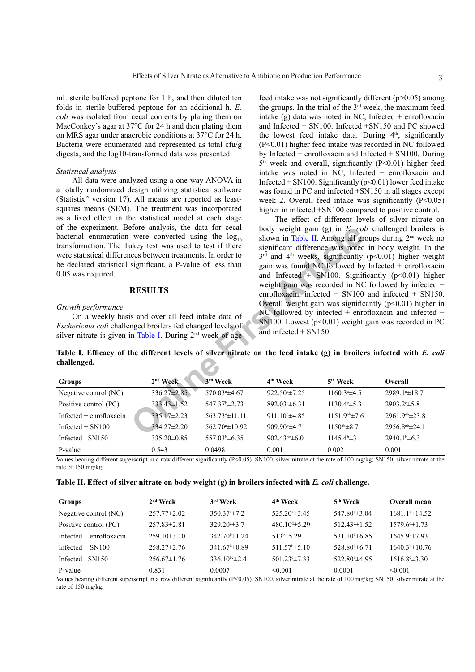mL sterile buffered peptone for 1 h, and then diluted ten folds in sterile buffered peptone for an additional h. *E. coli* was isolated from cecal contents by plating them on MacConkey's agar at 37°C for 24 h and then plating them on MRS agar under anaerobic conditions at 37°C for 24 h. Bacteria were enumerated and represented as total cfu/g digesta, and the log10-transformed data was presented.

#### *Statistical analysis*

All data were analyzed using a one-way ANOVA in a totally randomized design utilizing statistical software (Statistix" version 17). All means are reported as leastsquares means (SEM). The treatment was incorporated as a fixed effect in the statistical model at each stage of the experiment. Before analysis, the data for cecal bacterial enumeration were converted using the  $log_{10}$ transformation. The Tukey test was used to test if there were statistical differences between treatments. In order to be declared statistical significant, a P-value of less than 0.05 was required.

#### **RESULTS**

#### *Growth performance*

feed intake was not significantly different (p>0.05) among the groups. In the trial of the 3rd week, the maximum feed intake  $(g)$  data was noted in NC, Infected + enrofloxacin and Infected + SN100. Infected +SN150 and PC showed the lowest feed intake data. During  $4<sup>th</sup>$ , significantly (P<0.01) higher feed intake was recorded in NC followed by Infected + enrofloxacin and Infected + SN100. During  $5<sup>th</sup>$  week and overall, significantly (P<0.01) higher feed intake was noted in NC, Infected + enrofloxacin and Infected + SN100. Significantly  $(p<0.01)$  lower feed intake was found in PC and infected +SN150 in all stages except week 2. Overall feed intake was significantly (P<0.05) higher in infected  $+$ SN100 compared to positive control.

The effect of different levels of silver nitrate on body weight gain (g) in *E. coli* challenged broilers is shown in Table II. Among all groups during  $2<sup>nd</sup>$  week no significant difference was noted in body weight. In the  $3<sup>rd</sup>$  and  $4<sup>th</sup>$  weeks, significantly (p<0.01) higher weight gain was found NC followed by Infected + enrofloxacin and Infected  $+$  SN100. Significantly (p<0.01) higher weight gain was recorded in NC followed by infected + enrofloxacin, infected + SN100 and infected + SN150. Overall weight gain was significantly  $(p<0.01)$  higher in NC followed by infected + enrofloxacin and infected + SN100. Lowest  $(p<0.01)$  weight gain was recorded in PC and infected + SN150.

<span id="page-2-0"></span>**Table I. Efficacy of the different levels of silver nitrate on the feed intake (g) in broilers infected with** *E. coli* **challenged.**

| bacterial enumeration were converted using the $log_{10}$<br>transformation. The Tukey test was used to test if there<br>were statistical differences between treatments. In order to<br>be declared statistical significant, a P-value of less than<br>0.05 was required.<br><b>RESULTS</b><br>Growth performance<br>On a weekly basis and over all feed intake data of<br>Escherichia coli challenged broilers fed changed levels of<br>silver nitrate is given in Table I. During 2 <sup>nd</sup> week of age<br>Table I. Efficacy of the different levels of silver nitrate on the feed intake (g) in broilers infected with E. coli<br>challenged. |                   |                            |                                  | body weight gain $(g)$ in E. coli challenged broilers is<br>shown in Table II. Among all groups during 2 <sup>nd</sup> week no<br>significant difference was noted in body weight. In the<br>$3rd$ and $4th$ weeks, significantly (p<0.01) higher weight<br>gain was found NC followed by Infected $+$ enrofloxacin<br>and Infected $+$ SN100. Significantly ( $p<0.01$ ) higher<br>weight gain was recorded in NC followed by infected +<br>enrofloxacin, infected $+$ SN100 and infected $+$ SN150<br>Overall weight gain was significantly $(p<0.01)$ higher in<br>NC followed by infected + enrofloxacin and infected +<br>SN100. Lowest $(p<0.01)$ weight gain was recorded in PC<br>and infected $+$ SN150. |                            |  |
|---------------------------------------------------------------------------------------------------------------------------------------------------------------------------------------------------------------------------------------------------------------------------------------------------------------------------------------------------------------------------------------------------------------------------------------------------------------------------------------------------------------------------------------------------------------------------------------------------------------------------------------------------------|-------------------|----------------------------|----------------------------------|-------------------------------------------------------------------------------------------------------------------------------------------------------------------------------------------------------------------------------------------------------------------------------------------------------------------------------------------------------------------------------------------------------------------------------------------------------------------------------------------------------------------------------------------------------------------------------------------------------------------------------------------------------------------------------------------------------------------|----------------------------|--|
| <b>Groups</b>                                                                                                                                                                                                                                                                                                                                                                                                                                                                                                                                                                                                                                           | $2nd$ Week        | 3rd Week                   | 4 <sup>th</sup> Week             | 5 <sup>th</sup> Week                                                                                                                                                                                                                                                                                                                                                                                                                                                                                                                                                                                                                                                                                              | Overall                    |  |
| Negative control (NC)                                                                                                                                                                                                                                                                                                                                                                                                                                                                                                                                                                                                                                   | 336.27±2.85       | 570.03 <sup>a</sup> ±4.67  | $922.50*+7.25$                   | $1160.34 \pm 4.5$                                                                                                                                                                                                                                                                                                                                                                                                                                                                                                                                                                                                                                                                                                 | 2989.1 <sup>*</sup> ±18.7  |  |
| Positive control (PC)                                                                                                                                                                                                                                                                                                                                                                                                                                                                                                                                                                                                                                   | 333.43±1.52       | $547.37^{\circ}$ ± 2.73    | $892.03 \pm 6.31$                | $1130.4°\pm 5.3$                                                                                                                                                                                                                                                                                                                                                                                                                                                                                                                                                                                                                                                                                                  | $2903.24 \pm 5.8$          |  |
| Infected + enrofloxacin                                                                                                                                                                                                                                                                                                                                                                                                                                                                                                                                                                                                                                 | $335.17 \pm 2.23$ | 563.73 <sup>a</sup> ±11.11 | $911.10^{\circ}$ ±4.85           | $1151.9^{ab} \pm 7.6$                                                                                                                                                                                                                                                                                                                                                                                                                                                                                                                                                                                                                                                                                             | 2961.9 <sup>ab</sup> ±23.8 |  |
| Infected $+$ SN100                                                                                                                                                                                                                                                                                                                                                                                                                                                                                                                                                                                                                                      | 334.27±2.20       | 562.70 $\pm$ 10.92         | 909.90 <sup>b</sup> ±4.7         | $1150^{ab} \pm 8.7$                                                                                                                                                                                                                                                                                                                                                                                                                                                                                                                                                                                                                                                                                               | 2956.8 <sup>ab</sup> ±24.1 |  |
| Infected $+$ SN150                                                                                                                                                                                                                                                                                                                                                                                                                                                                                                                                                                                                                                      | 335.20±0.85       | 557.03 <sup>b</sup> ±6.35  | $902.43$ <sup>bc</sup> $\pm 6.0$ | $1145.4^{\circ}\pm3$                                                                                                                                                                                                                                                                                                                                                                                                                                                                                                                                                                                                                                                                                              | $2940.1^b \pm 6.3$         |  |
| P-value                                                                                                                                                                                                                                                                                                                                                                                                                                                                                                                                                                                                                                                 | 0.543             | 0.0498                     | 0.001                            | 0.002                                                                                                                                                                                                                                                                                                                                                                                                                                                                                                                                                                                                                                                                                                             | 0.001                      |  |

Values bearing different superscript in a row different significantly ( $P \le 0.05$ ). SN100, silver nitrate at the rate of 100 mg/kg; SN150, silver nitrate at the rate of 150 mg/kg.

<span id="page-2-1"></span>

| Table II. Effect of silver nitrate on body weight (g) in broilers infected with E. coli challenge. |  |  |
|----------------------------------------------------------------------------------------------------|--|--|
|                                                                                                    |  |  |

| Groups                    | $2nd$ Week        | 3rd Week                       | 4 <sup>th</sup> Week           | 5 <sup>th</sup> Week           | Overall mean        |
|---------------------------|-------------------|--------------------------------|--------------------------------|--------------------------------|---------------------|
| Negative control (NC)     | $257.77 \pm 2.02$ | 350 37 <sup>a</sup> $\pm$ 7 2  | $525.204\pm3.45$               | $547.80^{\circ}$ $\pm 3.04$    | $1681.14 \pm 14.52$ |
| Positive control (PC)     | $257.83\pm2.81$   | $329.20^{\circ} \pm 3.7$       | 480.10 <sup>d</sup> $\pm$ 5.29 | $512.43 \pm 1.52$              | $157964 \pm 173$    |
| Infected $+$ enrofloxacin | $259.10\pm3.10$   | $342.70^{\circ}$ ± 1.24        | $513b\pm 5.29$                 | 531.10 <sup>b</sup> $\pm$ 6.85 | $1645.9b\pm7.93$    |
| Infected $+$ SN100        | $258.27 \pm 2.76$ | $341.67^{\circ}$ ±0.89         | $511.57^{\circ}$ ±5.10         | $528.80^{\circ}$ $\pm 6.71$    | $1640.3b\pm 10.76$  |
| Infected $+$ SN150        | $256.67 \pm 1.76$ | 336.10 <sup>bc</sup> $\pm$ 2.4 | 501.23 $\pm$ 7.33              | $522.80^{\circ}$ ±4.95         | $1616.8 \pm 3.30$   |
| P-value                   | 0.831             | 0.0007                         | $\leq 0.001$                   | 0.0001                         | < 0.001             |

Values bearing different superscript in a row different significantly  $(P<0.05)$ . SN100, silver nitrate at the rate of 100 mg/kg; SN150, silver nitrate at the rate of 150 mg/kg.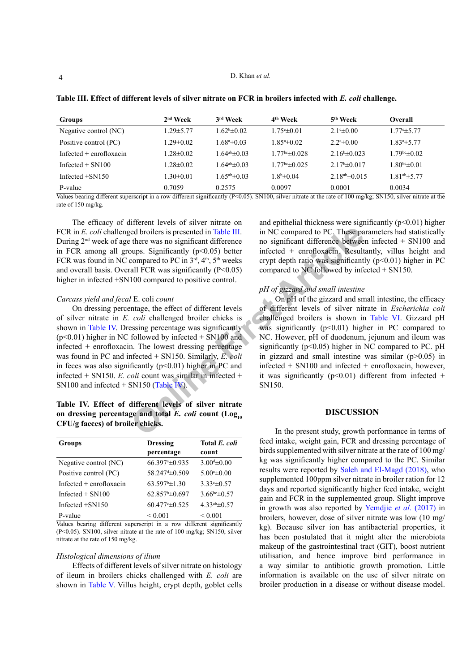#### D. Khan *et al.*

| Groups                    | $2nd$ Week      | 3rd Week                        | 4 <sup>th</sup> Week             | 5 <sup>th</sup> Week  | <b>Overall</b>       |
|---------------------------|-----------------|---------------------------------|----------------------------------|-----------------------|----------------------|
| Negative control (NC)     | $1.29 \pm 5.77$ | $1.62^b \pm 0.02$               | $1.75^{\circ} \pm 0.01$          | $2.1 \pm 0.00$        | 1.77°±5.77           |
| Positive control (PC)     | $1.29 \pm 0.02$ | $1.68^{\circ}$ ±0.03            | $1.85^{\circ}$ = 0.02            | $2.2a \pm 0.00$       | $1.834 \pm 5.77$     |
| Infected $+$ enrofloxacin | $1.28 \pm 0.02$ | $1.64a b \pm 0.03$              | $1.77$ <sup>bc</sup> $\pm 0.028$ | $2.16\pm 0.023$       | $1.79bc\pm 0.02$     |
| Infected $+$ SN100        | $1.28 \pm 0.02$ | $1.64$ <sup>ab</sup> $\pm 0.03$ | $1.77bc\pm 0.025$                | $2.17\pm 0.017$       | $1.80bc \pm 0.01$    |
| Infected $+$ SN150        | $1.30 \pm 0.01$ | $1.65^{ab} \pm 0.03$            | $1.8b\pm 0.04$                   | $2.18^{ab} \pm 0.015$ | $1.81^{ab} \pm 5.77$ |
| P-value                   | 0.7059          | 0.2575                          | 0.0097                           | 0.0001                | 0.0034               |

<span id="page-3-0"></span>**Table III. Effect of different levels of silver nitrate on FCR in broilers infected with** *E. coli* **challenge.**

Values bearing different superscript in a row different significantly (P<0.05). SN100, silver nitrate at the rate of 100 mg/kg; SN150, silver nitrate at the rate of 150 mg/kg.

The efficacy of different levels of silver nitrate on FCR in *E. coli* challenged broilers is presented in Table III. During 2nd week of age there was no significant difference in FCR among all groups. Significantly  $(p<0.05)$  better FCR was found in NC compared to PC in  $3<sup>rd</sup>$ ,  $4<sup>th</sup>$ ,  $5<sup>th</sup>$  weeks and overall basis. Overall FCR was significantly  $(P<0.05)$ higher in infected  $+$ SN100 compared to positive control.

#### *Carcass yield and fecal* E. coli *count*

On dressing percentage, the effect of different levels of silver nitrate in *E. coli* challenged broiler chicks is shown in [Table IV.](#page-3-1) Dressing percentage was significantly  $(p<0.01)$  higher in NC followed by infected + SN100 and infected + enrofloxacin. The lowest dressing percentage was found in PC and infected + SN150. Similarly, *E. coli* in feces was also significantly ( $p<0.01$ ) higher in PC and infected + SN150. *E. coli* count was similar in infected + SN100 and infected  $+$  SN150 (Table IV).

### <span id="page-3-1"></span>**Table IV. Effect of different levels of silver nitrate**  on dressing percentage and total  $E$ . *coli* count  $(Log<sub>10</sub>)$ **CFU/g faeces) of broiler chicks.**

| <b>Groups</b>             | <b>Dressing</b><br>percentage   | Total E. coli<br>count |
|---------------------------|---------------------------------|------------------------|
| Negative control (NC)     | $66.3974 \pm 0.935$             | $3.004 \pm 0.00$       |
| Positive control (PC)     | 58.247 <sup>d</sup> $\pm$ 0.509 | $5.00* \pm 0.00$       |
| Infected $+$ enrofloxacin | $63.597^{\circ}$ ±1.30          | $3.33*+0.57$           |
| Infected $+$ SN100        | $62.857^{\mathrm{b}}\pm 0.697$  | $3.66^{bc} \pm 0.57$   |
| Infected $+$ SN150        | $60.477^{\circ} \pm 0.525$      | $4.33^{ab} \pm 0.57$   |
| P-value                   | ${}_{0.001}$                    | ${}_{\leq 0.001}$      |

Values bearing different superscript in a row different significantly (P<0.05). SN100, silver nitrate at the rate of 100 mg/kg; SN150, silver nitrate at the rate of 150 mg/kg.

#### *Histological dimensions of ilium*

Effects of different levels of silver nitrate on histology of ileum in broilers chicks challenged with *E. coli* are shown in [Table V.](#page-4-0) Villus height, crypt depth, goblet cells and epithelial thickness were significantly  $(p<0.01)$  higher in NC compared to PC. These parameters had statistically no significant difference between infected + SN100 and infected + enrofloxacin. Resultantly, villus height and crypt depth ratio was significantly  $(p<0.01)$  higher in PC compared to NC followed by infected + SN150.

#### *pH of gizzard and small intestine*

(ed broilers is presented in Table III. in NC compared to PC. These particles there was no significant difference to pc in 3<sup>rd</sup>, 4<sup>th</sup>, 5<sup>th</sup> weeks the compared to PC in 3<sup>rd</sup>, 4<sup>th</sup>, 5<sup>th</sup> weeks the propriate the PC in On pH of the gizzard and small intestine, the efficacy of different levels of silver nitrate in *Escherichia coli* challenged broilers is shown in [Table VI](#page-4-1). Gizzard pH was significantly  $(p<0.01)$  higher in PC compared to NC. However, pH of duodenum, jejunum and ileum was significantly ( $p \le 0.05$ ) higher in NC compared to PC. pH in gizzard and small intestine was similar  $(p>0.05)$  in infected + SN100 and infected + enrofloxacin, however, it was significantly ( $p<0.01$ ) different from infected + SN150.

#### **DISCUSSION**

In the present study, growth performance in terms of feed intake, weight gain, FCR and dressing percentage of birds supplemented with silver nitrate at the rate of 100 mg/ kg was significantly higher compared to the PC. Similar results were reported by [Saleh and El-Magd \(2018\),](#page-6-10) who supplemented 100ppm silver nitrate in broiler ration for 12 days and reported significantly higher feed intake, weight gain and FCR in the supplemented group. Slight improve in growth was also reported by [Yemdjie](#page-7-8) *et al*. (2017) in broilers, however, dose of silver nitrate was low (10 mg/ kg). Because silver ion has antibacterial properties, it has been postulated that it might alter the microbiota makeup of the gastrointestinal tract (GIT), boost nutrient utilisation, and hence improve bird performance in a way similar to antibiotic growth promotion. Little information is available on the use of silver nitrate on broiler production in a disease or without disease model.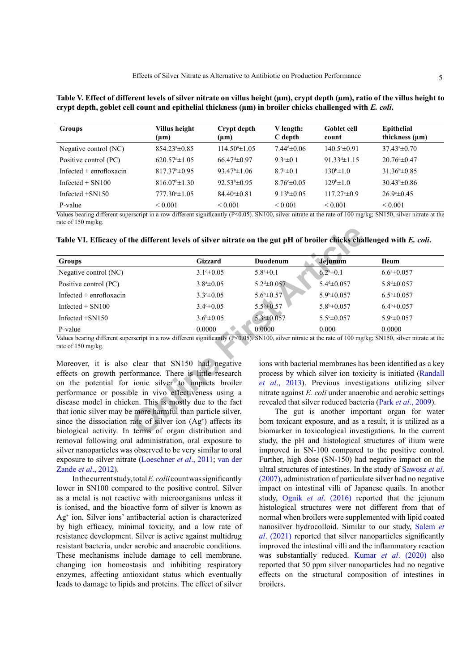<span id="page-4-0"></span>

| Table V. Effect of different levels of silver nitrate on villus height (µm), crypt depth (µm), ratio of the villus height to |  |
|------------------------------------------------------------------------------------------------------------------------------|--|
| crypt depth, goblet cell count and epithelial thickness (µm) in broiler chicks challenged with E. coli.                      |  |

| <b>Groups</b>             | Villus height<br>$(\mu m)$ | Crypt depth<br>$(\mu m)$ | V length:<br>C depth    | <b>Goblet</b> cell<br>count | Epithelial<br>thickness $(\mu m)$ |
|---------------------------|----------------------------|--------------------------|-------------------------|-----------------------------|-----------------------------------|
| Negative control (NC)     | $854.23* \pm 0.85$         | $114.50* \pm 1.05$       | $7.44\pm 0.06$          | $140.54 \pm 0.91$           | $37.43* \pm 0.70$                 |
| Positive control (PC)     | $620.57 \pm 1.05$          | $66.47\pm0.97$           | $9.3^{\circ}$ $\pm 0.1$ | $91.33 \pm 1.15$            | $20.76\pm 0.47$                   |
| Infected $+$ enrofloxacin | $817.37^{\circ}$ ±0.95     | $93.47^{\circ}$ ±1.06    | $8.7° \pm 0.1$          | $130^{\circ}$ ± 1.0         | $31.36^{\circ}$ ±0.85             |
| Infected $+$ SN100        | $816.07^{\circ}$ ± 1.30    | $92.53b\pm 0.95$         | $8.76^{\circ} \pm 0.05$ | $129b\pm 1.0$               | $30.43^{\circ}$ ±0.86             |
| Infected $+$ SN150        | 777.30°±1.05               | $84.40 \pm 0.81$         | $9.13b\pm 0.05$         | $117.27 \pm 0.9$            | $26.9^{\circ} \pm 0.45$           |
| P-value                   | ${}_{\leq 0.001}$          | ${}_{\leq 0.001}$        | ${}_{\leq 0.001}$       | ${}_{0.001}$                | ${}_{0.001}$                      |

Values bearing different superscript in a row different significantly  $(P<0.05)$ . SN100, silver nitrate at the rate of 100 mg/kg; SN150, silver nitrate at the rate of 150 mg/kg.

<span id="page-4-1"></span>

|  | Table VI. Efficacy of the different levels of silver nitrate on the gut pH of broiler chicks challenged with E. coli |  |  |  |  |
|--|----------------------------------------------------------------------------------------------------------------------|--|--|--|--|
|  |                                                                                                                      |  |  |  |  |

| <b>Groups</b>                                                                                                                                                                           | Gizzard                | <b>Duodenum</b>          | Jejunum                 | <b>Ileum</b>                                                                                                                                                                        |
|-----------------------------------------------------------------------------------------------------------------------------------------------------------------------------------------|------------------------|--------------------------|-------------------------|-------------------------------------------------------------------------------------------------------------------------------------------------------------------------------------|
| Negative control (NC)                                                                                                                                                                   | $3.14 \pm 0.05$        | $5.8^{\mathrm{a}}\pm0.1$ | $6.24 \pm 0.1$          | $6.64 \pm 0.057$                                                                                                                                                                    |
| Positive control (PC)                                                                                                                                                                   | $3.8^{\circ} \pm 0.05$ | $5.24 \pm 0.057$         | $5.44 \pm 0.057$        | $5.84 \pm 0.057$                                                                                                                                                                    |
| Infected $+$ enrofloxacin                                                                                                                                                               | $3.3^{\circ} \pm 0.05$ | $5.6^{\rm b} \pm 0.57$   | $5.9b\pm 0.057$         | $6.5^{\rm b} \pm 0.057$                                                                                                                                                             |
| Infected $+$ SN100                                                                                                                                                                      | $3.4° \pm 0.05$        | $5.5^{b} \pm 0.57$       | $5.8^{\rm b} \pm 0.057$ | $6.4^{\rm b} \pm 0.057$                                                                                                                                                             |
| Infected $+$ SN150                                                                                                                                                                      | $3.6^{\rm b} \pm 0.05$ | $5.3*10.057$             | $5.5^{\circ} \pm 0.057$ | 5.940.057                                                                                                                                                                           |
| P-value                                                                                                                                                                                 | 0.0000                 | 0.0000                   | 0.000                   | 0.0000                                                                                                                                                                              |
| Values bearing different superscript in a row different significantly $(P<0.05)$ . SN100, silver nitrate at the rate of 100 mg/kg; SN150, silver nitrate at the<br>rate of 150 mg/kg.   |                        |                          |                         |                                                                                                                                                                                     |
| Moreover, it is also clear that SN150 had negative<br>effects on growth performance. There is little research<br>on the potential for ionic silver to impacts broiler                   |                        |                          |                         | ions with bacterial membranes has been identified as a key<br>process by which silver ion toxicity is initiated (Randall<br>et al., 2013). Previous investigations utilizing silver |
| performance or possible in vivo effectiveness using a<br>disease model in chicken. This is mostly due to the fact                                                                       |                        |                          |                         | nitrate against E. coli under anaerobic and aerobic settings<br>revealed that silver reduced bacteria (Park <i>et al.</i> , 2009).                                                  |
| that ionic silver may be more harmful than particle silver,<br>since the dissociation rate of silver ion $(Ag+)$ affects its<br>biological activity. In terms of organ distribution and |                        |                          |                         | The gut is another important organ for water<br>born toxicant exposure, and as a result, it is utilized as a<br>biomarker in toxicological investigations. In the current           |

Moreover, it is also clear that SN150 had negative effects on growth performance. There is little research on the potential for ionic silver to impacts broiler performance or possible in vivo effectiveness using a disease model in chicken. This is mostly due to the fact that ionic silver may be more harmful than particle silver, since the dissociation rate of silver ion  $(Ag<sup>+</sup>)$  affects its biological activity. In terms of organ distribution and removal following oral administration, oral exposure to silver nanoparticles was observed to be very similar to oral exposure to silver nitrate [\(Loeschner](#page-6-7) *et al*., 2011; [van der](#page-7-4) Zande *et al*[., 2012](#page-7-4)).

In the current study, total  $E$ . *colii* count was significantly lower in SN100 compared to the positive control. Silver as a metal is not reactive with microorganisms unless it is ionised, and the bioactive form of silver is known as Ag+ ion. Silver ions' antibacterial action is characterized by high efficacy, minimal toxicity, and a low rate of resistance development. Silver is active against multidrug resistant bacteria, under aerobic and anaerobic conditions. These mechanisms include damage to cell membrane, changing ion homeostasis and inhibiting respiratory enzymes, affecting antioxidant status which eventually leads to damage to lipids and proteins. The effect of silver

The gut is another important organ for water born toxicant exposure, and as a result, it is utilized as a biomarker in toxicological investigations. In the current study, the pH and histological structures of ilium were improved in SN-100 compared to the positive control. Further, high dose (SN-150) had negative impact on the ultral structures of intestines. In the study of [Sawosz](#page-6-8) *et al*. [\(2007\)](#page-6-8), administration of particulate silver had no negative impact on intestinal villi of Japanese quails. In another study, Ognik *et al*. (2016) reported that the jejunum histological structures were not different from that of normal when broilers were supplemented with lipid coated nanosilver hydrocolloid. Similar to our study, [Salem](#page-6-12) *et al*[. \(2021\)](#page-6-12) reported that silver nanoparticles significantly improved the intestinal villi and the inflammatory reaction was substantially reduced. Kumar *et al*[. \(2020\)](#page-6-13) also reported that 50 ppm silver nanoparticles had no negative effects on the structural composition of intestines in broilers.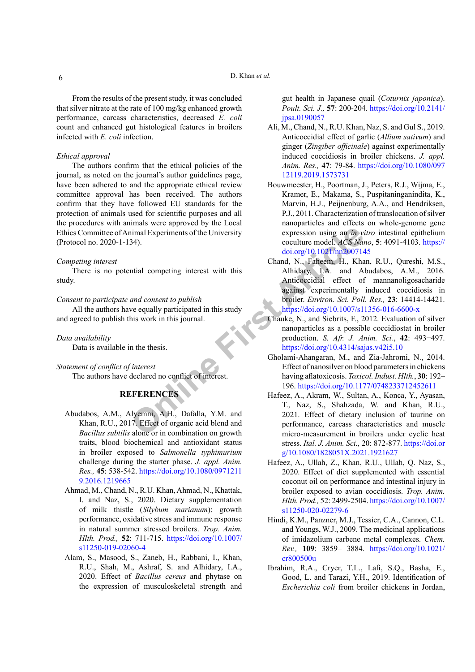From the results of the present study, it was concluded that silver nitrate at the rate of 100 mg/kg enhanced growth performance, carcass characteristics, decreased *E. coli* count and enhanced gut histological features in broilers infected with *E. coli* infection.

#### *Ethical approval*

The authors confirm that the ethical policies of the journal, as noted on the journal's author guidelines page, have been adhered to and the appropriate ethical review committee approval has been received. The authors confirm that they have followed EU standards for the protection of animals used for scientific purposes and all the procedures with animals were approved by the Local Ethics Committee of Animal Experiments of the University (Protocol no. 2020-1-134).

#### *Competing interest*

There is no potential competing interest with this study.

#### *Consent to participate and consent to publish*

All the authors have equally participated in this study and agreed to publish this work in this journal.

#### *Data availability*

Data is available in the thesis.

*Statement of conflict of interest* 

The authors have declared no conflict of interest.

# <span id="page-5-8"></span><span id="page-5-6"></span><span id="page-5-5"></span>**REFERENCES**

- <span id="page-5-1"></span>Abudabos, A.M., Alyemni, A.H., Dafalla, Y.M. and Khan, R.U., 2017. Effect of organic acid blend and *Bacillus subtilis* alone or in combination on growth traits, blood biochemical and antioxidant status in broiler exposed to *Salmonella typhimurium*  challenge during the starter phase. *J. appl. Anim. Res.,* **45**: 538-542. [https://doi.org/10.1080/0971211](https://doi.org/10.1080/09712119.2016.1219665) [9.2016.1219665](https://doi.org/10.1080/09712119.2016.1219665)
- <span id="page-5-3"></span>Ahmad, M., Chand, N., R.U. Khan, Ahmad, N., Khattak, I. and Naz, S., 2020. Dietary supplementation of milk thistle (*Silybum marianum*): growth performance, oxidative stress and immune response in natural summer stressed broilers. *Trop. Anim. Hlth. Prod.,* **52**: 711-715. [https://doi.org/10.1007/](https://doi.org/10.1007/s11250-019-02060-4) [s11250-019-02060-4](https://doi.org/10.1007/s11250-019-02060-4)
- <span id="page-5-7"></span><span id="page-5-4"></span>Alam, S., Masood, S., Zaneb, H., Rabbani, I., Khan, R.U., Shah, M., Ashraf, S. and Alhidary, I.A., 2020. Effect of *Bacillus cereus* and phytase on the expression of musculoskeletal strength and

gut health in Japanese quail (*Coturnix japonica*). *Poult. Sci. J.,* **57**: 200-204. [https://doi.org/10.2141/](https://doi.org/10.2141/jpsa.0190057) [jpsa.0190057](https://doi.org/10.2141/jpsa.0190057)

- <span id="page-5-2"></span>Ali, M., Chand, N., R.U. Khan, Naz, S. and Gul S., 2019. Anticoccidial effect of garlic (*Allium sativum*) and ginger (*Zingiber officinale*) against experimentally induced coccidiosis in broiler chickens. *J. appl. Anim. Res.,* **47**: 79-84. [https://doi.org/10.1080/097](https://doi.org/10.1080/09712119.2019.1573731) [12119.2019.1573731](https://doi.org/10.1080/09712119.2019.1573731)
- <span id="page-5-10"></span><span id="page-5-9"></span><span id="page-5-0"></span>Bouwmeester, H., Poortman, J., Peters, R.J., Wijma, E., Kramer, E., Makama, S., Puspitaninganindita, K., Marvin, H.J., Peijnenburg, A.A., and Hendriksen, P.J., 2011. Characterization of translocation of silver nanoparticles and effects on whole-genome gene expression using an *in vitro* intestinal epithelium coculture model. *ACS Nano*, **5**: 4091-4103. [https://](https://doi.org/10.1021/nn2007145) doi.org/10.1021/nn2007145
- nimal Experiments of the University<br>
34).<br>
34).<br>
34).<br>
34).<br>
34).<br>
34).<br>
34).<br>
34).<br>
34<br>
34).<br>
34).<br>
34).<br>
34).<br>
34).<br>
34).<br>
34).<br>
34).<br>
34).<br>
34).<br>
34).<br>
34).<br>
34).<br>
34).<br>
34).<br>
34).<br>
34).<br>
34).<br>
34).<br>
34).<br>
34).<br>
34).<br>
3 Chand, N., Faheem, H., Khan, R.U., Qureshi, M.S., Alhidary, I.A. and Abudabos, A.M., 2016. Anticoccidial effect of mannanoligosacharide against experimentally induced coccidiosis in broiler. *Environ. Sci. Poll. Res.,* **23**: 14414-14421. <https://doi.org/10.1007/s11356-016-6600-x>
	- Chauke, N., and Siebrits, F., 2012. Evaluation of silver nanoparticles as a possible coccidiostat in broiler production. *S. Afr. J. Anim. Sci.*, **42**: 493−497. <https://doi.org/10.4314/sajas.v42i5.10>
	- Gholami-Ahangaran, M., and Zia-Jahromi, N., 2014. Effect of nanosilver on blood parameters in chickens having aflatoxicosis. *Toxicol. Indust. Hlth.*, **30**: 192– 196.<https://doi.org/10.1177/0748233712452611>
	- Hafeez, A., Akram, W., Sultan, A., Konca, Y., Ayasan, T., Naz, S., Shahzada, W. and Khan, R.U., 2021. Effect of dietary inclusion of taurine on performance, carcass characteristics and muscle micro-measurement in broilers under cyclic heat stress. *Ital. J. Anim. Sci.,* 20: 872-877. [https://doi.or](https://doi.org/10.1080/1828051X.2021.1921627) [g/10.1080/1828051X.2021.1921627](https://doi.org/10.1080/1828051X.2021.1921627)
	- Hafeez, A., Ullah, Z., Khan, R.U., Ullah, Q. Naz, S., 2020. Effect of diet supplemented with essential coconut oil on performance and intestinal injury in broiler exposed to avian coccidiosis. *Trop. Anim. Hlth. Prod.,* 52: 2499-2504. [https://doi.org/10.1007/](https://doi.org/10.1007/s11250-020-02279-6) [s11250-020-02279-6](https://doi.org/10.1007/s11250-020-02279-6)
	- Hindi, K.M., Panzner, M.J., Tessier, C.A., Cannon, C.L. and Youngs, W.J., 2009. The medicinal applications of imidazolium carbene metal complexes. *Chem. Rev.,* **109**: 3859– 3884. [https://doi.org/10.1021/](https://doi.org/10.1021/cr800500u) [cr800500u](https://doi.org/10.1021/cr800500u)
	- Ibrahim, R.A., Cryer, T.L., Lafi, S.Q., Basha, E., Good, L. and Tarazi, Y.H., 2019. Identification of *Escherichia coli* from broiler chickens in Jordan,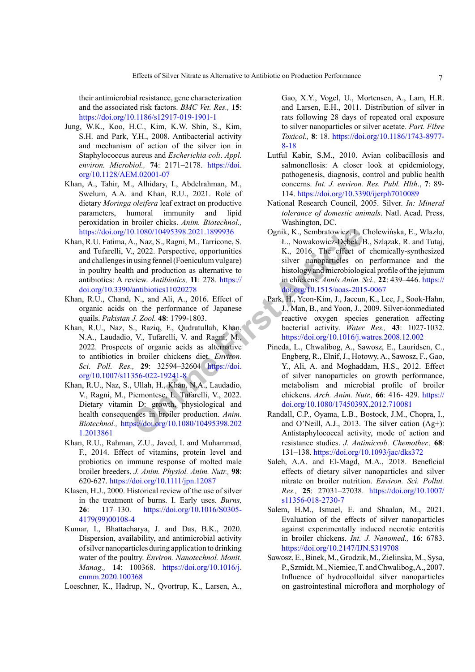their antimicrobial resistance, gene characterization and the associated risk factors. *BMC Vet. Res.,* **15**: <https://doi.org/10.1186/s12917-019-1901-1>

- Jung, W.K., Koo, H.C., Kim, K.W. Shin, S., Kim, S.H. and Park, Y.H., 2008. Antibacterial activity and mechanism of action of the silver ion in Staphylococcus aureus and *Escherichia coli*. *Appl. environ. Microbiol.,* **74**: 2171–2178. [https://doi.](https://doi.org/10.1128/AEM.02001-07) [org/10.1128/AEM.02001-07](https://doi.org/10.1128/AEM.02001-07)
- <span id="page-6-0"></span>Khan, A., Tahir, M., Alhidary, I., Abdelrahman, M., Swelum, A.A. and Khan, R.U., 2021. Role of dietary *Moringa oleifera* leaf extract on productive parameters, humoral immunity and lipid peroxidation in broiler chicks. *Anim. Biotechnol.,*  <https://doi.org/10.1080/10495398.2021.1899936>
- <span id="page-6-2"></span>Khan, R.U. Fatima, A., Naz, S., Ragni, M., Tarricone, S. and Tufarelli, V., 2022. Perspective, opportunities and challenges in using fennel (Foeniculum vulgare) in poultry health and production as alternative to antibiotics: A review. *Antibiotics,* **11**: 278. https:// [doi.org/10.3390/antibiotics11020278](https://doi.org/10.3390/antibiotics11020278)
- <span id="page-6-1"></span>Khan, R.U., Chand, N., and Ali, A., 2016. Effect of organic acids on the performance of Japanese quails. *Pakistan J. Zool.* **48**: 1799-1803.
- Khan, R.U., Naz, S., Raziq, F., Qudratullah, Khan, N.A., Laudadio, V., Tufarelli, V. and Ragni, M., 2022. Prospects of organic acids as alternative to antibiotics in broiler chickens diet. *Environ. Sci. Poll. Res.,* **29**: 32594–32604 https://doi. [org/10.1007/s11356-022-19241-8](https://doi.org/10.1007/s11356-022-19241-8)
- Khan, R.U., Naz, S., Ullah, H., Khan, N.A., Laudadio, V., Ragni, M., Piemontese, L. Tufarelli, V., 2022. Dietary vitamin D: growth, physiological and health consequences in broiler production. *Anim. Biotechnol.,* https://doi.org/10.1080/10495398.202 [1.2013861](https://doi.org/10.1080/10495398.2021.2013861)
- <span id="page-6-10"></span><span id="page-6-3"></span>Khan, R.U., Rahman, Z.U., Javed, I. and Muhammad, F., 2014. Effect of vitamins, protein level and probiotics on immune response of molted male broiler breeders. *J. Anim. Physiol. Anim. Nutr.,* **98**: 620-627.<https://doi.org/10.1111/jpn.12087>
- <span id="page-6-12"></span><span id="page-6-5"></span>Klasen, H.J., 2000. Historical review of the use of silver in the treatment of burns. I. Early uses. *Burns,* **26**: 117–130. [https://doi.org/10.1016/S0305-](https://doi.org/10.1016/S0305-4179(99)00108-4) [4179\(99\)00108-4](https://doi.org/10.1016/S0305-4179(99)00108-4)
- <span id="page-6-13"></span><span id="page-6-8"></span>Kumar, I., Bhattacharya, J. and Das, B.K., 2020. Dispersion, availability, and antimicrobial activity of silver nanoparticles during application to drinking water of the poultry. *Environ. Nanotechnol. Monit. Manag.,* **14**: 100368. [https://doi.org/10.1016/j.](https://doi.org/10.1016/j.enmm.2020.100368) [enmm.2020.100368](https://doi.org/10.1016/j.enmm.2020.100368)

<span id="page-6-7"></span>Loeschner, K., Hadrup, N., Qvortrup, K., Larsen, A.,

Gao, X.Y., Vogel, U., Mortensen, A., Lam, H.R. and Larsen, E.H., 2011. Distribution of silver in rats following 28 days of repeated oral exposure to silver nanoparticles or silver acetate. *Part. Fibre Toxicol.,* **8**: 18. [https://doi.org/10.1186/1743-8977-](https://doi.org/10.1186/1743-8977-8-18) [8-18](https://doi.org/10.1186/1743-8977-8-18)

- <span id="page-6-4"></span>Lutful Kabir, S.M., 2010. Avian colibacillosis and salmonellosis: A closer look at epidemiology, pathogenesis, diagnosis, control and public health concerns. *Int. J. environ. Res. Publ. Hlth*., **7**: 89- 114. <https://doi.org/10.3390/ijerph7010089>
- <span id="page-6-11"></span><span id="page-6-9"></span><span id="page-6-6"></span>National Research Council, 2005. Silver. *In: Mineral tolerance of domestic animals*. Natl. Acad. Press, Washington, DC.
- **O.** 1080/10495398.2021.1899936<br> **O.** 1080/10495398.2021.1899936<br> **C.** 2022. Perspective, opportunities<br>
I.e., Nowakowicz-Debek, I.e., 2016<br> **C.** 7. 2022. Perspective, opportunities<br> **E.**  $\mu$ , 2016. Th[e](https://doi.org/10.1007/s11356-022-19241-8) effect of<br> **E.** Ognik, K., Sembratowicz, I., Cholewińska, E., Wlazło, Ł., Nowakowicz-Dębek, B., Szlązak, R. and Tutaj, K., 2016. The effect of chemically-synthesized silver nanoparticles on performance and the histology and microbiological profile of the jejunum in chickens. *Annls Anim. Sci.,* **22**: 439–446. [https://](https://doi.org/10.1515/aoas-2015-0067) doi.org/10.1515/aoas-2015-0067
	- Park, H., Yeon-Kim, J., Jaeeun, K., Lee, J., Sook-Hahn, J., Man, B., and Yoon, J., 2009. Silver-ionmediated reactive oxygen species generation affecting bacterial activity. *Water Res.,* **43**: 1027-1032. <https://doi.org/10.1016/j.watres.2008.12.002>
	- Pineda, L., Chwalibog, A., Sawosz, E., Lauridsen, C., Engberg, R., Elnif, J., Hotowy, A., Sawosz, F., Gao, Y., Ali, A. and Moghaddam, H.S., 2012. Effect of silver nanoparticles on growth performance, metabolism and microbial profile of broiler chickens. *Arch. Anim. Nutr.,* **66**: 416- 429. [https://](https://doi.org/10.1080/1745039X.2012.710081) [doi.org/10.1080/1745039X.2012.710081](https://doi.org/10.1080/1745039X.2012.710081)
	- Randall, C.P., Oyama, L.B., Bostock, J.M., Chopra, I., and O'Neill, A.J., 2013. The silver cation (Ag+): Antistaphylococcal activity, mode of action and resistance studies. *J. Antimicrob. Chemother.,* **68**: 131–138.<https://doi.org/10.1093/jac/dks372>
	- Saleh, A.A. and El-Magd, M.A., 2018. Beneficial effects of dietary silver nanoparticles and silver nitrate on broiler nutrition. *Environ. Sci. Pollut. Res.,* **25**: 27031–27038. [https://doi.org/10.1007/](https://doi.org/10.1007/s11356-018-2730-7) [s11356-018-2730-7](https://doi.org/10.1007/s11356-018-2730-7)
	- Salem, H.M., Ismael, E. and Shaalan, M., 2021. Evaluation of the effects of silver nanoparticles against experimentally induced necrotic enteritis in broiler chickens. *Int. J. Nanomed.,* **16**: 6783. <https://doi.org/10.2147/IJN.S319708>
	- Sawosz, E., Binek, M., Grodzik, M., Zielinska, M., Sysa, P., Szmidt, M., Niemiec, T. and Chwalibog, A., 2007. Influence of hydrocolloidal silver nanoparticles on gastrointestinal microflora and morphology of